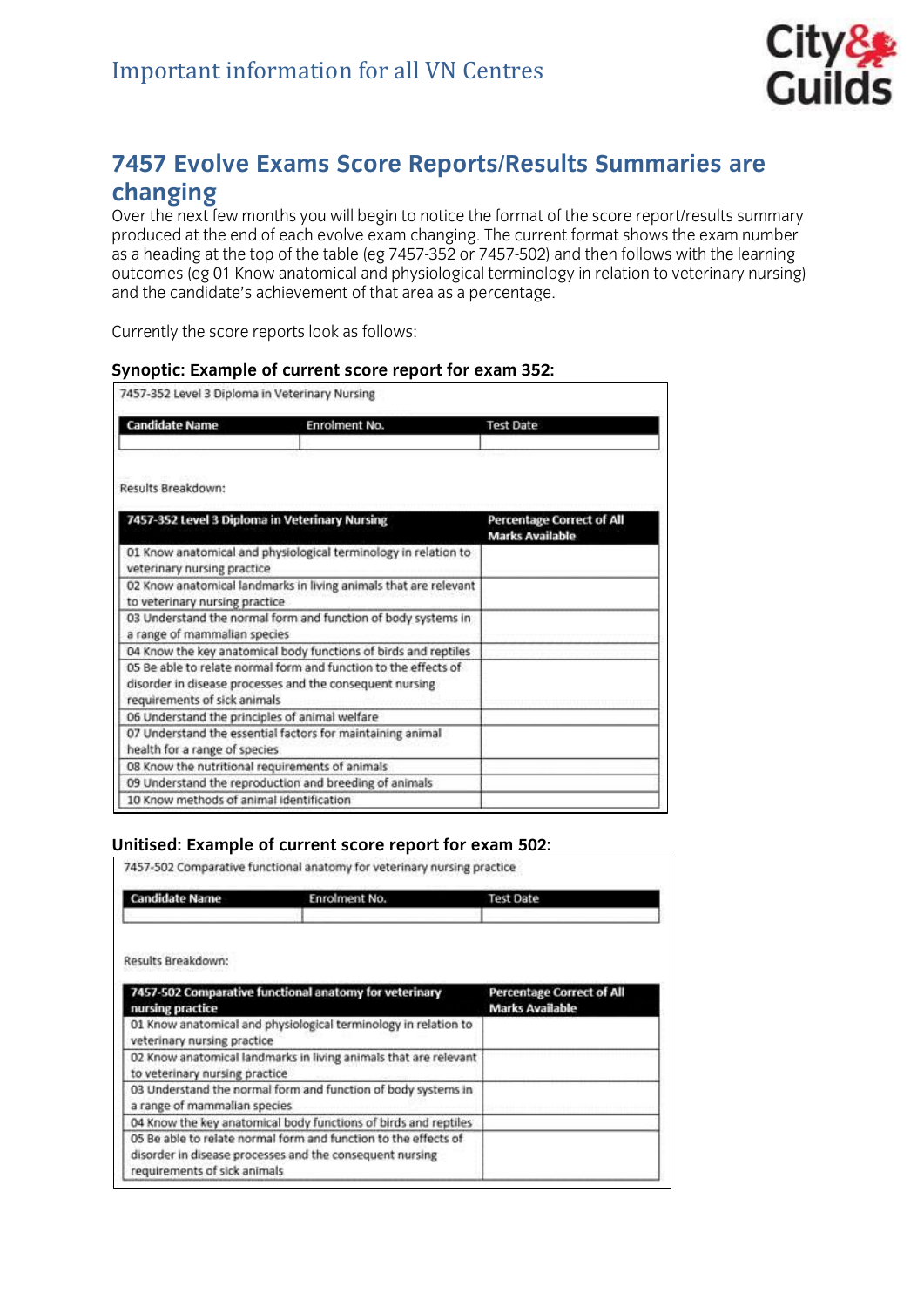

# **7457 Evolve Exams Score Reports/Results Summaries are**

Over the next few months you will begin to notice the format of the score report/results summary produced at the end of each evolve exam changing. The current format shows the exam number as a heading at the top of the table (eg 7457-352 or 7457-502) and then follows with the learning outcomes (eg 01 Know anatomical and physiological terminology in relation to veterinary nursing) outcomes (eg 01 kmom anatomical and physiological terminology in relation to veterinary nursing).<br>and the candidate's achievement of that area as a nercentage and the candidate's achievement of that area as a percentage.

currently the score report follows:

### **Synoptic: Example of current score report for exam 352:**

| <b>Candidate Name</b><br><b>Enrolment No.</b>                                                                                                               | <b>Test Date</b>                                           |
|-------------------------------------------------------------------------------------------------------------------------------------------------------------|------------------------------------------------------------|
| Results Breakdown:                                                                                                                                          |                                                            |
| 7457-352 Level 3 Diploma in Veterinary Nursing                                                                                                              | <b>Percentage Correct of All</b><br><b>Marks Available</b> |
| 01 Know anatomical and physiological terminology in relation to<br>veterinary nursing practice                                                              |                                                            |
| 02 Know anatomical landmarks in living animals that are relevant<br>to veterinary nursing practice                                                          |                                                            |
| 03 Understand the normal form and function of body systems in<br>a range of mammalian species                                                               |                                                            |
| 04 Know the key anatomical body functions of birds and reptiles                                                                                             |                                                            |
| 05 Be able to relate normal form and function to the effects of<br>disorder in disease processes and the consequent nursing<br>requirements of sick animals |                                                            |
| 06 Understand the principles of animal welfare                                                                                                              |                                                            |
| 07 Understand the essential factors for maintaining animal<br>health for a range of species                                                                 |                                                            |
| 08 Know the nutritional requirements of animals                                                                                                             |                                                            |
| 09 Understand the reproduction and breeding of animals                                                                                                      |                                                            |
| 10 Know methods of animal identification                                                                                                                    |                                                            |

## **Unitised: Example of current score report for exam 502:**<br>7457-502 Comparative functional anatomy for veterinary nursing practice

| <b>Candidate Name</b>                                                                                                                                       | Enrolment No.                                                    | <b>Test Date</b>                                           |
|-------------------------------------------------------------------------------------------------------------------------------------------------------------|------------------------------------------------------------------|------------------------------------------------------------|
| Results Breakdown:                                                                                                                                          |                                                                  |                                                            |
| 7457-502 Comparative functional anatomy for veterinary<br>nursing practice                                                                                  |                                                                  | <b>Percentage Correct of All</b><br><b>Marks Available</b> |
| 01 Know anatomical and physiological terminology in relation to<br>veterinary nursing practice                                                              |                                                                  |                                                            |
| to veterinary nursing practice                                                                                                                              | 02 Know anatomical landmarks in living animals that are relevant |                                                            |
| 03 Understand the normal form and function of body systems in<br>a range of mammalian species                                                               |                                                                  |                                                            |
| 04 Know the key anatomical body functions of birds and reptiles                                                                                             |                                                                  |                                                            |
| 05 Be able to relate normal form and function to the effects of<br>disorder in disease processes and the consequent nursing<br>requirements of sick animals |                                                                  |                                                            |